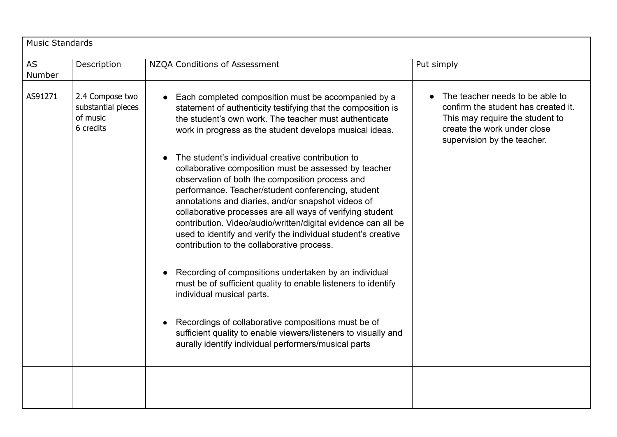| <b>Music Standards</b> |                                                                |                                                                                                                                                                                                                                                                                                                                                                                                                                                                                                                                                                                                                                                                                                                                                                                                                                                                                                                                                                                                                                                                                                           |                                                                                                                                                                         |  |  |
|------------------------|----------------------------------------------------------------|-----------------------------------------------------------------------------------------------------------------------------------------------------------------------------------------------------------------------------------------------------------------------------------------------------------------------------------------------------------------------------------------------------------------------------------------------------------------------------------------------------------------------------------------------------------------------------------------------------------------------------------------------------------------------------------------------------------------------------------------------------------------------------------------------------------------------------------------------------------------------------------------------------------------------------------------------------------------------------------------------------------------------------------------------------------------------------------------------------------|-------------------------------------------------------------------------------------------------------------------------------------------------------------------------|--|--|
| <b>AS</b><br>Number    | Description                                                    | NZQA Conditions of Assessment                                                                                                                                                                                                                                                                                                                                                                                                                                                                                                                                                                                                                                                                                                                                                                                                                                                                                                                                                                                                                                                                             | Put simply                                                                                                                                                              |  |  |
| AS91271                | 2.4 Compose two<br>substantial pieces<br>of music<br>6 credits | Each completed composition must be accompanied by a<br>statement of authenticity testifying that the composition is<br>the student's own work. The teacher must authenticate<br>work in progress as the student develops musical ideas.<br>The student's individual creative contribution to<br>collaborative composition must be assessed by teacher<br>observation of both the composition process and<br>performance. Teacher/student conferencing, student<br>annotations and diaries, and/or snapshot videos of<br>collaborative processes are all ways of verifying student<br>contribution. Video/audio/written/digital evidence can all be<br>used to identify and verify the individual student's creative<br>contribution to the collaborative process.<br>Recording of compositions undertaken by an individual<br>must be of sufficient quality to enable listeners to identify<br>individual musical parts.<br>Recordings of collaborative compositions must be of<br>sufficient quality to enable viewers/listeners to visually and<br>aurally identify individual performers/musical parts | The teacher needs to be able to<br>confirm the student has created it.<br>This may require the student to<br>create the work under close<br>supervision by the teacher. |  |  |
|                        |                                                                |                                                                                                                                                                                                                                                                                                                                                                                                                                                                                                                                                                                                                                                                                                                                                                                                                                                                                                                                                                                                                                                                                                           |                                                                                                                                                                         |  |  |